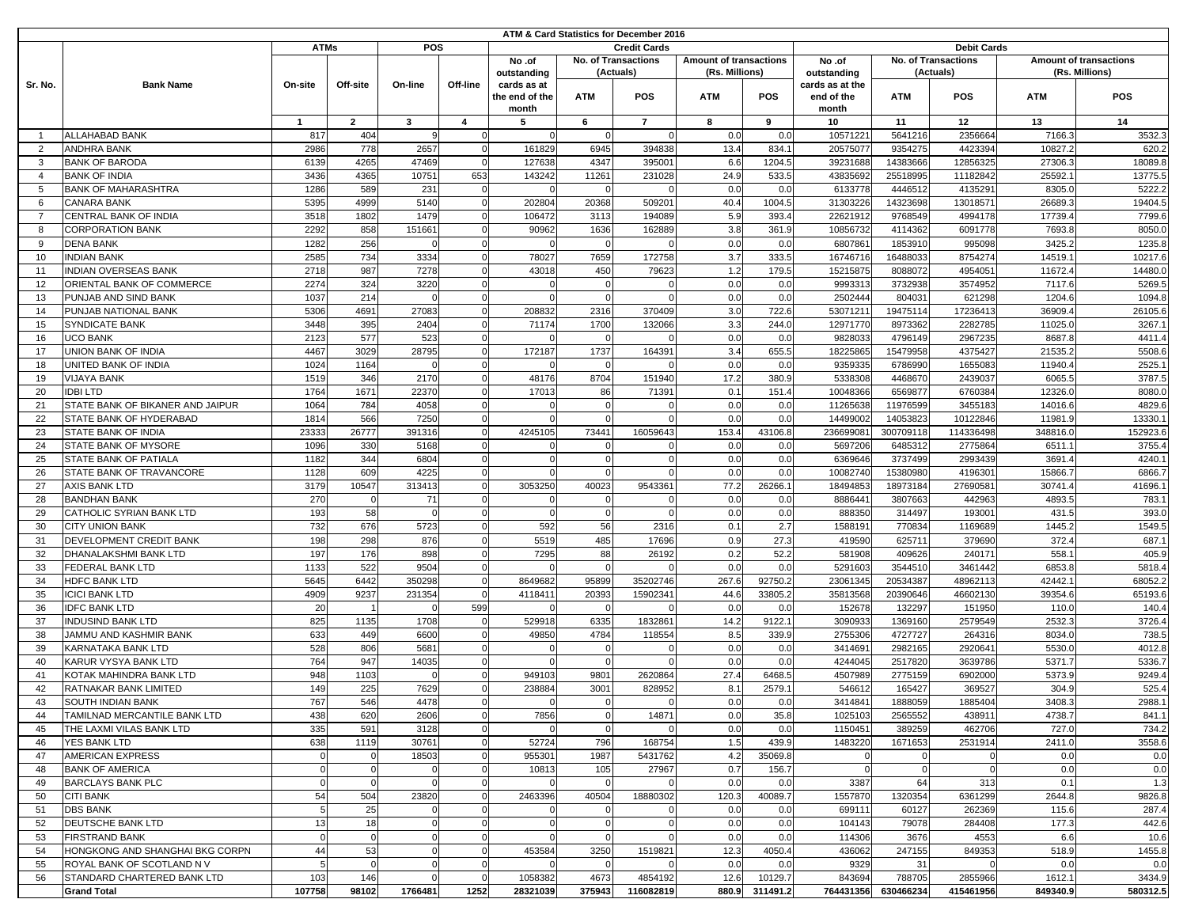| ATM & Card Statistics for December 2016 |                                  |             |              |            |          |                |                            |                     |                        |                 |                 |                     |                    |                               |            |
|-----------------------------------------|----------------------------------|-------------|--------------|------------|----------|----------------|----------------------------|---------------------|------------------------|-----------------|-----------------|---------------------|--------------------|-------------------------------|------------|
|                                         |                                  | <b>ATMs</b> |              | <b>POS</b> |          |                |                            | <b>Credit Cards</b> |                        |                 |                 |                     | <b>Debit Cards</b> |                               |            |
|                                         |                                  |             |              |            |          | No .of         | <b>No. of Transactions</b> |                     | Amount of transactions |                 | No .of          | No. of Transactions |                    | <b>Amount of transactions</b> |            |
|                                         |                                  | On-site     | Off-site     | On-line    | Off-line | outstanding    | (Actuals)                  |                     | (Rs. Millions)         |                 | outstanding     | (Actuals)           |                    | (Rs. Millions)                |            |
| Sr. No.                                 | <b>Bank Name</b>                 |             |              |            |          | cards as at    |                            |                     |                        |                 | cards as at the |                     |                    |                               |            |
|                                         |                                  |             |              |            |          | the end of the | <b>ATM</b>                 | POS                 | <b>ATM</b>             | <b>POS</b>      | end of the      | <b>ATM</b>          | <b>POS</b>         | <b>ATM</b>                    | <b>POS</b> |
|                                         |                                  |             |              |            |          | month          |                            |                     |                        |                 | month           |                     |                    |                               |            |
|                                         |                                  | -1          | $\mathbf{2}$ | 3          | 4        | 5              | 6                          | $\overline{7}$      | 8                      | 9               | 10              | 11                  | 12                 | 13                            | 14         |
| - 1                                     | <b>ALLAHABAD BANK</b>            | 817         | 404          |            | $\Omega$ |                |                            |                     | 0.0                    | 0.0             | 10571221        | 5641216             | 2356664            | 7166.3                        | 3532.3     |
|                                         |                                  |             |              |            |          |                |                            |                     |                        |                 |                 |                     |                    |                               |            |
| 2                                       | <b>ANDHRA BANK</b>               | 2986        | 778          | 2657       | $\Omega$ | 161829         | 6945                       | 394838              | 13.4                   | 834.            | 20575077        | 9354275             | 4423394            | 10827.2                       | 620.2      |
| 3                                       | <b>BANK OF BARODA</b>            | 6139        | 4265         | 47469      |          | 127638         | 4347                       | 39500               | 6.6                    | 1204.           | 39231688        | 14383666            | 12856325           | 27306.3                       | 18089.8    |
| $\overline{4}$                          | <b>BANK OF INDIA</b>             | 3436        | 4365         | 10751      | 653      | 143242         | 11261                      | 231028              | 24.9                   | 533.5           | 43835692        | 25518995            | 11182842           | 25592.                        | 13775.5    |
| 5                                       | <b>BANK OF MAHARASHTRA</b>       | 1286        | 589          | 231        | $\Omega$ |                |                            |                     | 0.0                    | 0.0             | 6133778         | 4446512             | 4135291            | 8305.0                        | 5222.2     |
| 6                                       | <b>CANARA BANK</b>               | 5395        | 4999         | 5140       | $\Omega$ | 202804         | 20368                      | 50920               | 40.4                   | 1004.           | 31303226        | 14323698            | 13018571           | 26689.                        | 19404.5    |
| $\overline{7}$                          | CENTRAL BANK OF INDIA            | 3518        | 1802         | 1479       | $\Omega$ | 106472         | 3113                       | 194089              | 5.9                    | 393.            | 22621912        | 9768549             | 4994178            | 17739.4                       | 7799.6     |
| 8                                       | <b>CORPORATION BANK</b>          | 2292        | 858          | 151661     | $\Omega$ | 90962          | 1636                       | 162889              | 3.8                    | 361.9           | 10856732        | 4114362             | 6091778            | 7693.8                        | 8050.0     |
|                                         | <b>DENA BANK</b>                 | 1282        | 256          |            | $\Omega$ |                |                            |                     | 0.0                    | 0.0             | 680786          | 1853910             | 995098             | 3425.2                        | 1235.8     |
| 9                                       |                                  |             |              |            |          |                |                            |                     |                        |                 |                 |                     |                    |                               |            |
| 10                                      | <b>INDIAN BANK</b>               | 2585        | 734          | 3334       | $\Omega$ | 78027          | 7659                       | 172758              | 3.7                    | 333.5           | 16746716        | 16488033            | 8754274            | 14519.                        | 10217.6    |
| 11                                      | <b>INDIAN OVERSEAS BANK</b>      | 2718        | 987          | 7278       |          | 43018          | 450                        | 79623               | 1.2                    | 179.5           | 15215875        | 8088072             | 4954051            | 11672.4                       | 14480.0    |
| 12                                      | ORIENTAL BANK OF COMMERCE        | 2274        | 324          | 3220       |          |                | $\Omega$                   |                     | 0.0                    | 0.0             | 9993313         | 3732938             | 3574952            | 7117.6                        | 5269.5     |
| 13                                      | PUNJAB AND SIND BANK             | 1037        | 214          |            | $\Omega$ |                |                            |                     | 0.0                    | 0.0             | 2502444         | 80403               | 621298             | 1204.6                        | 1094.8     |
| 14                                      | PUNJAB NATIONAL BANK             | 5306        | 4691         | 27083      | $\Omega$ | 208832         | 2316                       | 370409              | 3.0                    | 722.6           | 5307121         | 19475114            | 17236413           | 36909.                        | 26105.6    |
| 15                                      | <b>SYNDICATE BANK</b>            | 3448        | 395          | 2404       |          | 71174          | 1700                       | 132066              | 3.3                    | 244.0           | 12971770        | 8973362             | 2282785            | 11025.0                       | 3267.1     |
| 16                                      | <b>UCO BANK</b>                  | 2123        | 577          | 523        | $\Omega$ |                |                            |                     | 0.0                    | 0.0             | 9828033         | 4796149             | 2967235            | 8687.8                        | 4411.4     |
| 17                                      | <b>UNION BANK OF INDIA</b>       | 4467        | 3029         | 28795      |          | 172187         | 1737                       | 164391              | 3.4                    | 655.5           | 18225865        | 15479958            | 4375427            | 21535.2                       | 5508.6     |
|                                         |                                  |             |              |            |          |                |                            |                     |                        |                 |                 |                     |                    |                               |            |
| 18                                      | UNITED BANK OF INDIA             | 1024        | 1164         |            |          |                |                            |                     | 0.0                    | 0.0             | 9359335         | 6786990             | 1655083            | 11940.4                       | 2525.1     |
| 19                                      | <b>VIJAYA BANK</b>               | 1519        | 346          | 2170       |          | 48176          | 8704                       | 151940              | 17.2                   | 380.9           | 5338308         | 4468670             | 2439037            | 6065.5                        | 3787.5     |
| 20                                      | <b>IDBILTD</b>                   | 1764        | 1671         | 22370      |          | 17013          | 86                         | 7139                | 0.1                    | 151.4           | 10048366        | 656987              | 6760384            | 12326.0                       | 8080.0     |
| 21                                      | STATE BANK OF BIKANER AND JAIPUR | 1064        | 784          | 4058       | $\Omega$ |                |                            |                     | 0.0                    | 0. <sub>C</sub> | 11265638        | 11976599            | 3455183            | 14016.6                       | 4829.6     |
| 22                                      | STATE BANK OF HYDERABAD          | 1814        | 566          | 7250       |          |                |                            |                     | 0.0                    | 0.0             | 14499002        | 14053823            | 10122846           | 11981.                        | 13330.     |
| 23                                      | <b>STATE BANK OF INDIA</b>       | 23333       | 26777        | 391316     |          | 4245105        | 73441                      | 16059643            | 153.4                  | 43106.8         | 23669908        | 300709118           | 114336498          | 348816.0                      | 152923.6   |
| 24                                      | STATE BANK OF MYSORE             | 1096        | 330          | 5168       | $\Omega$ |                |                            |                     | 0.0                    | 0.0             | 5697206         | 6485312             | 2775864            | 6511.                         | 3755.4     |
| 25                                      | <b>STATE BANK OF PATIALA</b>     | 1182        | 344          | 6804       | $\Omega$ |                |                            |                     | 0.0                    | 0.0             | 6369646         | 3737499             | 2993439            | 3691.                         | 4240.1     |
|                                         | STATE BANK OF TRAVANCORE         | 1128        | 609          | 4225       |          |                |                            |                     | 0.0                    | 0.0             | 10082740        | 15380980            | 419630             | 15866.                        | 6866.7     |
| 26                                      |                                  |             |              |            |          |                |                            |                     |                        |                 |                 |                     |                    |                               |            |
| 27                                      | <b>AXIS BANK LTD</b>             | 3179        | 10547        | 313413     | $\Omega$ | 3053250        | 40023                      | 954336              | 77.2                   | 26266.          | 1849485         | 18973184            | 27690581           | 30741.4                       | 41696.     |
| 28                                      | <b>BANDHAN BANK</b>              | 270         |              | 71         | $\Omega$ |                |                            |                     | 0.0                    | 0.0             | 888644          | 3807663             | 442963             | 4893.5                        | 783.       |
| 29                                      | CATHOLIC SYRIAN BANK LTD         | 193         | 58           |            | $\Omega$ |                |                            |                     | 0.0                    | 0.0             | 88835           | 314497              | 193001             | 431.5                         | 393.0      |
| 30                                      | <b>CITY UNION BANK</b>           | 732         | 676          | 5723       | $\Omega$ | 592            | 56                         | 2316                | 0.1                    | 2.7             | 1588191         | 770834              | 1169689            | 1445.2                        | 1549.5     |
| 31                                      | DEVELOPMENT CREDIT BANK          | 198         | 298          | 876        |          | 5519           | 485                        | 17696               | 0.9                    | 27.3            | 419590          | 625711              | 379690             | 372.4                         | 687.1      |
| 32                                      | <b>DHANALAKSHMI BANK LTD</b>     | 197         | 176          | 898        | $\Omega$ | 7295           | 88                         | 26192               | 0.2                    | 52.2            | 581908          | 409626              | 240171             | 558.                          | 405.9      |
| 33                                      | <b>FEDERAL BANK LTD</b>          | 1133        | 522          | 9504       | $\Omega$ |                |                            |                     | 0.0                    | 0. <sub>C</sub> | 5291603         | 3544510             | 3461442            | 6853.8                        | 5818.4     |
| 34                                      | <b>HDFC BANK LTD</b>             | 5645        | 6442         | 350298     | $\Omega$ | 8649682        | 95899                      | 35202746            | 267.6                  | 92750.          | 23061345        | 20534387            | 48962113           | 42442.                        | 68052.2    |
| 35                                      | <b>ICICI BANK LTD</b>            | 4909        | 9237         | 231354     | $\Omega$ | 4118411        | 20393                      | 1590234             | 44.6                   | 33805.          | 35813568        | 20390646            | 46602130           | 39354.6                       | 65193.6    |
|                                         |                                  |             |              |            |          |                |                            |                     |                        |                 |                 |                     |                    |                               |            |
| 36                                      | <b>IDFC BANK LTD</b>             | 20          |              |            | 599      |                |                            |                     | 0.0                    | 0.0             | 152678          | 132297              | 151950             | 110.0                         | 140.4      |
| 37                                      | <b>INDUSIND BANK LTD</b>         | 825         | 1135         | 1708       | $\Omega$ | 529918         | 6335                       | 183286              | 14.2                   | 9122.           | 3090933         | 1369160             | 2579549            | 2532.3                        | 3726.4     |
| 38                                      | JAMMU AND KASHMIR BANK           | 633         | 449          | 6600       | $\Omega$ | 49850          | 4784                       | 118554              | 8.5                    | 339.9           | 2755306         | 4727727             | 264316             | 8034.0                        | 738.5      |
| 39                                      | <b>KARNATAKA BANK LTD</b>        | 528         | 806          | 5681       | $\Omega$ |                |                            |                     | 0.0                    | 0.0             | 3414691         | 2982165             | 2920641            | 5530.0                        | 4012.8     |
| 40                                      | <b>KARUR VYSYA BANK LTD</b>      | 764         | 947          | 14035      | $\Omega$ |                |                            |                     | 0.0                    | 0.0             | 4244045         | 2517820             | 3639786            | 5371.7                        | 5336.7     |
| 41                                      | KOTAK MAHINDRA BANK LTD          | 948         | 1103         |            | $\Omega$ | 94910          | 9801                       | 2620864             | 27.4                   | 6468.           | 4507989         | 2775159             | 6902000            | 5373.9                        | 9249.4     |
| 42                                      | <b>RATNAKAR BANK LIMITED</b>     | 149         | 225          | 7629       | $\Omega$ | 238884         | 3001                       | 828952              | 8.1                    | 2579.           | 546612          | 165427              | 369527             | 304.9                         | 525.4      |
| 43                                      | SOUTH INDIAN BANK                | 767         | 546          | 4478       |          |                |                            |                     | 0.0                    | 0.0             | 3414841         | 1888059             | 1885404            | 3408.3                        | 2988.1     |
| 44                                      | TAMILNAD MERCANTILE BANK LTD     | 438         | 620          | 2606       | $\Omega$ | 7856           | $\mathbf 0$                | 14871               | 0.0                    | 35.8            | 1025103         | 2565552             | 438911             | 4738.7                        | 841.1      |
| 45                                      | THE LAXMI VILAS BANK LTD         | 335         | 591          | 3128       | $\Omega$ |                |                            |                     | 0.0                    | 0.0             | 1150451         | 389259              | 462706             | 727.0                         | 734.2      |
|                                         |                                  |             |              |            |          |                |                            |                     |                        |                 |                 |                     |                    |                               |            |
| 46                                      | <b>YES BANK LTD</b>              | 638         | 1119         | 30761      | $\Omega$ | 52724          | 796                        | 168754              | 1.5                    | 439.9           | 1483220         | 1671653             | 2531914            | 2411.0                        | 3558.6     |
| 47                                      | <b>AMERICAN EXPRESS</b>          |             |              | 18503      | $\Omega$ | 955301         | 1987                       | 5431762             | 4.2                    | 35069.8         |                 |                     |                    | 0.0                           | 0.0        |
| 48                                      | <b>BANK OF AMERICA</b>           |             | $\Omega$     |            | $\Omega$ | 10813          | 105                        | 27967               | 0.7                    | 156.7           |                 |                     |                    | 0.0                           | 0.0        |
| 49                                      | <b>BARCLAYS BANK PLC</b>         |             |              |            | $\Omega$ |                |                            |                     | 0.0                    | 0.0             | 3387            | 64                  | 313                | 0.1                           | 1.3        |
| 50                                      | <b>CITI BANK</b>                 | 54          | 504          | 23820      | $\Omega$ | 2463396        | 40504                      | 18880302            | 120.3                  | 40089.7         | 1557870         | 1320354             | 6361299            | 2644.8                        | 9826.8     |
| 51                                      | <b>DBS BANK</b>                  |             | 25           |            | $\Omega$ |                | $\Omega$                   |                     | 0.0                    | 0.0             | 699111          | 60127               | 262369             | 115.6                         | 287.4      |
| 52                                      | <b>DEUTSCHE BANK LTD</b>         | 13          | 18           |            | $\Omega$ | $\Omega$       | $\Omega$                   |                     | 0.0                    | 0.0             | 104143          | 79078               | 284408             | 177.3                         | 442.6      |
| 53                                      | <b>FIRSTRAND BANK</b>            |             | $\mathbf 0$  |            | $\Omega$ |                |                            |                     | 0.0                    | 0.0             | 114306          | 3676                | 4553               | 6.6                           | 10.6       |
| 54                                      | HONGKONG AND SHANGHAI BKG CORPN  | 44          | 53           |            | $\Omega$ | 453584         | 3250                       | 1519821             | 12.3                   | 4050.4          | 436062          | 247155              | 849353             | 518.9                         | 1455.8     |
|                                         |                                  |             |              |            |          |                |                            |                     |                        |                 |                 |                     |                    |                               |            |
| 55                                      | ROYAL BANK OF SCOTLAND N V       |             | $\Omega$     |            | $\Omega$ |                |                            |                     | 0.0                    | 0.0             | 9329            | 31                  |                    | 0.0                           | 0.0        |
| 56                                      | STANDARD CHARTERED BANK LTD      | 103         | 146          |            | $\Omega$ | 1058382        | 4673                       | 4854192             | 12.6                   | 10129.7         | 843694          | 788705              | 2855966            | 1612.1                        | 3434.9     |
|                                         | <b>Grand Total</b>               | 107758      | 98102        | 1766481    | 1252     | 28321039       | 375943                     | 116082819           | 880.9                  | 311491.2        | 764431356       | 630466234           | 415461956          | 849340.9                      | 580312.5   |